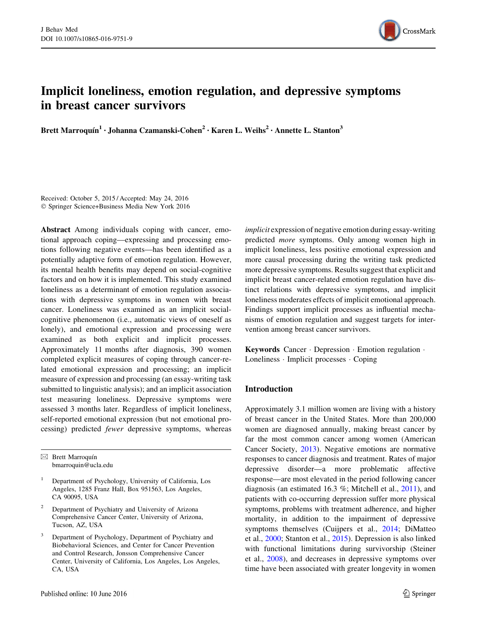

# Implicit loneliness, emotion regulation, and depressive symptoms in breast cancer survivors

Brett Marroquín<sup>1</sup> · Johanna Czamanski-Cohen<sup>2</sup> · Karen L. Weihs<sup>2</sup> · Annette L. Stanton<sup>3</sup>

Received: October 5, 2015 / Accepted: May 24, 2016 - Springer Science+Business Media New York 2016

Abstract Among individuals coping with cancer, emotional approach coping—expressing and processing emotions following negative events—has been identified as a potentially adaptive form of emotion regulation. However, its mental health benefits may depend on social-cognitive factors and on how it is implemented. This study examined loneliness as a determinant of emotion regulation associations with depressive symptoms in women with breast cancer. Loneliness was examined as an implicit socialcognitive phenomenon (i.e., automatic views of oneself as lonely), and emotional expression and processing were examined as both explicit and implicit processes. Approximately 11 months after diagnosis, 390 women completed explicit measures of coping through cancer-related emotional expression and processing; an implicit measure of expression and processing (an essay-writing task submitted to linguistic analysis); and an implicit association test measuring loneliness. Depressive symptoms were assessed 3 months later. Regardless of implicit loneliness, self-reported emotional expression (but not emotional processing) predicted fewer depressive symptoms, whereas

 $\boxtimes$  Brett Marroquín bmarroquin@ucla.edu implicit expression of negative emotion during essay-writing predicted more symptoms. Only among women high in implicit loneliness, less positive emotional expression and more causal processing during the writing task predicted more depressive symptoms. Results suggest that explicit and implicit breast cancer-related emotion regulation have distinct relations with depressive symptoms, and implicit loneliness moderates effects of implicit emotional approach. Findings support implicit processes as influential mechanisms of emotion regulation and suggest targets for intervention among breast cancer survivors.

Keywords Cancer - Depression - Emotion regulation - Loneliness - Implicit processes - Coping

# Introduction

Approximately 3.1 million women are living with a history of breast cancer in the United States. More than 200,000 women are diagnosed annually, making breast cancer by far the most common cancer among women (American Cancer Society, [2013\)](#page-10-0). Negative emotions are normative responses to cancer diagnosis and treatment. Rates of major depressive disorder—a more problematic affective response—are most elevated in the period following cancer diagnosis (an estimated 16.3 %; Mitchell et al., [2011](#page-11-0)), and patients with co-occurring depression suffer more physical symptoms, problems with treatment adherence, and higher mortality, in addition to the impairment of depressive symptoms themselves (Cuijpers et al., [2014](#page-10-0); DiMatteo et al., [2000](#page-10-0); Stanton et al., [2015\)](#page-11-0). Depression is also linked with functional limitations during survivorship (Steiner et al., [2008](#page-11-0)), and decreases in depressive symptoms over time have been associated with greater longevity in women

<sup>1</sup> Department of Psychology, University of California, Los Angeles, 1285 Franz Hall, Box 951563, Los Angeles, CA 90095, USA

<sup>2</sup> Department of Psychiatry and University of Arizona Comprehensive Cancer Center, University of Arizona, Tucson, AZ, USA

Department of Psychology, Department of Psychiatry and Biobehavioral Sciences, and Center for Cancer Prevention and Control Research, Jonsson Comprehensive Cancer Center, University of California, Los Angeles, Los Angeles, CA, USA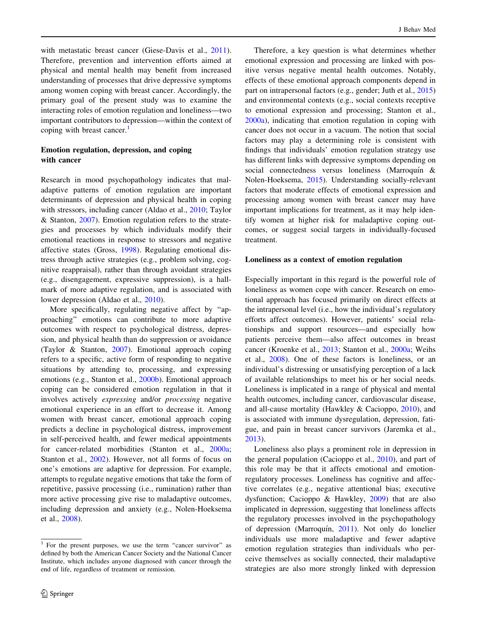with metastatic breast cancer (Giese-Davis et al., [2011](#page-11-0)). Therefore, prevention and intervention efforts aimed at physical and mental health may benefit from increased understanding of processes that drive depressive symptoms among women coping with breast cancer. Accordingly, the primary goal of the present study was to examine the interacting roles of emotion regulation and loneliness—two important contributors to depression—within the context of coping with breast cancer.<sup>1</sup>

# Emotion regulation, depression, and coping with cancer

Research in mood psychopathology indicates that maladaptive patterns of emotion regulation are important determinants of depression and physical health in coping with stressors, including cancer (Aldao et al., [2010;](#page-10-0) Taylor & Stanton, [2007\)](#page-11-0). Emotion regulation refers to the strategies and processes by which individuals modify their emotional reactions in response to stressors and negative affective states (Gross, [1998\)](#page-11-0). Regulating emotional distress through active strategies (e.g., problem solving, cognitive reappraisal), rather than through avoidant strategies (e.g., disengagement, expressive suppression), is a hallmark of more adaptive regulation, and is associated with lower depression (Aldao et al., [2010](#page-10-0)).

More specifically, regulating negative affect by "approaching'' emotions can contribute to more adaptive outcomes with respect to psychological distress, depression, and physical health than do suppression or avoidance (Taylor & Stanton, [2007\)](#page-11-0). Emotional approach coping refers to a specific, active form of responding to negative situations by attending to, processing, and expressing emotions (e.g., Stanton et al., [2000b\)](#page-11-0). Emotional approach coping can be considered emotion regulation in that it involves actively expressing and/or processing negative emotional experience in an effort to decrease it. Among women with breast cancer, emotional approach coping predicts a decline in psychological distress, improvement in self-perceived health, and fewer medical appointments for cancer-related morbidities (Stanton et al., [2000a](#page-11-0); Stanton et al., [2002](#page-11-0)). However, not all forms of focus on one's emotions are adaptive for depression. For example, attempts to regulate negative emotions that take the form of repetitive, passive processing (i.e., rumination) rather than more active processing give rise to maladaptive outcomes, including depression and anxiety (e.g., Nolen-Hoeksema et al., [2008](#page-11-0)).

Therefore, a key question is what determines whether emotional expression and processing are linked with positive versus negative mental health outcomes. Notably, effects of these emotional approach components depend in part on intrapersonal factors (e.g., gender; Juth et al., [2015\)](#page-11-0) and environmental contexts (e.g., social contexts receptive to emotional expression and processing; Stanton et al., [2000a\)](#page-11-0), indicating that emotion regulation in coping with cancer does not occur in a vacuum. The notion that social factors may play a determining role is consistent with findings that individuals' emotion regulation strategy use has different links with depressive symptoms depending on social connectedness versus loneliness (Marroquín & Nolen-Hoeksema, [2015](#page-11-0)). Understanding socially-relevant factors that moderate effects of emotional expression and processing among women with breast cancer may have important implications for treatment, as it may help identify women at higher risk for maladaptive coping outcomes, or suggest social targets in individually-focused treatment.

# Loneliness as a context of emotion regulation

Especially important in this regard is the powerful role of loneliness as women cope with cancer. Research on emotional approach has focused primarily on direct effects at the intrapersonal level (i.e., how the individual's regulatory efforts affect outcomes). However, patients' social relationships and support resources—and especially how patients perceive them—also affect outcomes in breast cancer (Kroenke et al., [2013](#page-11-0); Stanton et al., [2000a;](#page-11-0) Weihs et al., [2008](#page-12-0)). One of these factors is loneliness, or an individual's distressing or unsatisfying perception of a lack of available relationships to meet his or her social needs. Loneliness is implicated in a range of physical and mental health outcomes, including cancer, cardiovascular disease, and all-cause mortality (Hawkley & Cacioppo, [2010\)](#page-11-0), and is associated with immune dysregulation, depression, fatigue, and pain in breast cancer survivors (Jaremka et al., [2013](#page-11-0)).

Loneliness also plays a prominent role in depression in the general population (Cacioppo et al., [2010\)](#page-10-0), and part of this role may be that it affects emotional and emotionregulatory processes. Loneliness has cognitive and affective correlates (e.g., negative attentional bias; executive dysfunction; Cacioppo & Hawkley, [2009\)](#page-10-0) that are also implicated in depression, suggesting that loneliness affects the regulatory processes involved in the psychopathology of depression (Marroquín, [2011\)](#page-11-0). Not only do lonelier individuals use more maladaptive and fewer adaptive emotion regulation strategies than individuals who perceive themselves as socially connected, their maladaptive strategies are also more strongly linked with depression

 $1$  For the present purposes, we use the term "cancer survivor" as defined by both the American Cancer Society and the National Cancer Institute, which includes anyone diagnosed with cancer through the end of life, regardless of treatment or remission.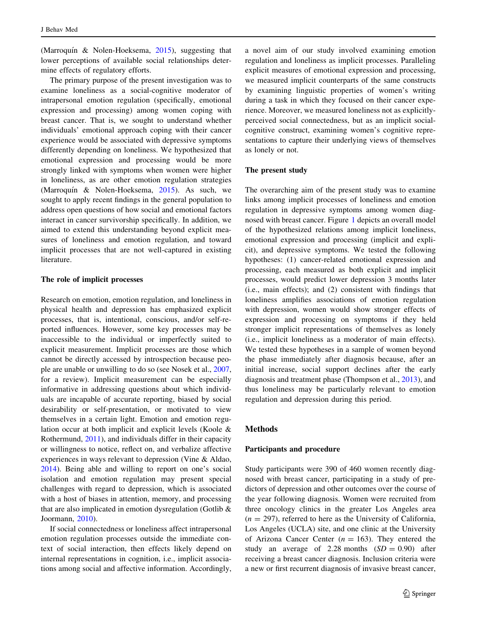(Marroquín & Nolen-Hoeksema,  $2015$ ), suggesting that lower perceptions of available social relationships determine effects of regulatory efforts.

The primary purpose of the present investigation was to examine loneliness as a social-cognitive moderator of intrapersonal emotion regulation (specifically, emotional expression and processing) among women coping with breast cancer. That is, we sought to understand whether individuals' emotional approach coping with their cancer experience would be associated with depressive symptoms differently depending on loneliness. We hypothesized that emotional expression and processing would be more strongly linked with symptoms when women were higher in loneliness, as are other emotion regulation strategies (Marroquín & Nolen-Hoeksema,  $2015$ ). As such, we sought to apply recent findings in the general population to address open questions of how social and emotional factors interact in cancer survivorship specifically. In addition, we aimed to extend this understanding beyond explicit measures of loneliness and emotion regulation, and toward implicit processes that are not well-captured in existing literature.

## The role of implicit processes

Research on emotion, emotion regulation, and loneliness in physical health and depression has emphasized explicit processes, that is, intentional, conscious, and/or self-reported influences. However, some key processes may be inaccessible to the individual or imperfectly suited to explicit measurement. Implicit processes are those which cannot be directly accessed by introspection because people are unable or unwilling to do so (see Nosek et al., [2007,](#page-11-0) for a review). Implicit measurement can be especially informative in addressing questions about which individuals are incapable of accurate reporting, biased by social desirability or self-presentation, or motivated to view themselves in a certain light. Emotion and emotion regulation occur at both implicit and explicit levels (Koole & Rothermund, [2011](#page-11-0)), and individuals differ in their capacity or willingness to notice, reflect on, and verbalize affective experiences in ways relevant to depression (Vine & Aldao, [2014\)](#page-12-0). Being able and willing to report on one's social isolation and emotion regulation may present special challenges with regard to depression, which is associated with a host of biases in attention, memory, and processing that are also implicated in emotion dysregulation (Gotlib & Joormann, [2010](#page-11-0)).

If social connectedness or loneliness affect intrapersonal emotion regulation processes outside the immediate context of social interaction, then effects likely depend on internal representations in cognition, i.e., implicit associations among social and affective information. Accordingly,

a novel aim of our study involved examining emotion regulation and loneliness as implicit processes. Paralleling explicit measures of emotional expression and processing, we measured implicit counterparts of the same constructs by examining linguistic properties of women's writing during a task in which they focused on their cancer experience. Moreover, we measured loneliness not as explicitlyperceived social connectedness, but as an implicit socialcognitive construct, examining women's cognitive representations to capture their underlying views of themselves as lonely or not.

### The present study

The overarching aim of the present study was to examine links among implicit processes of loneliness and emotion regulation in depressive symptoms among women diagnosed with breast cancer. Figure [1](#page-3-0) depicts an overall model of the hypothesized relations among implicit loneliness, emotional expression and processing (implicit and explicit), and depressive symptoms. We tested the following hypotheses: (1) cancer-related emotional expression and processing, each measured as both explicit and implicit processes, would predict lower depression 3 months later (i.e., main effects); and (2) consistent with findings that loneliness amplifies associations of emotion regulation with depression, women would show stronger effects of expression and processing on symptoms if they held stronger implicit representations of themselves as lonely (i.e., implicit loneliness as a moderator of main effects). We tested these hypotheses in a sample of women beyond the phase immediately after diagnosis because, after an initial increase, social support declines after the early diagnosis and treatment phase (Thompson et al., [2013\)](#page-12-0), and thus loneliness may be particularly relevant to emotion regulation and depression during this period.

## Methods

## Participants and procedure

Study participants were 390 of 460 women recently diagnosed with breast cancer, participating in a study of predictors of depression and other outcomes over the course of the year following diagnosis. Women were recruited from three oncology clinics in the greater Los Angeles area  $(n = 297)$ , referred to here as the University of California, Los Angeles (UCLA) site, and one clinic at the University of Arizona Cancer Center ( $n = 163$ ). They entered the study an average of 2.28 months  $(SD = 0.90)$  after receiving a breast cancer diagnosis. Inclusion criteria were a new or first recurrent diagnosis of invasive breast cancer,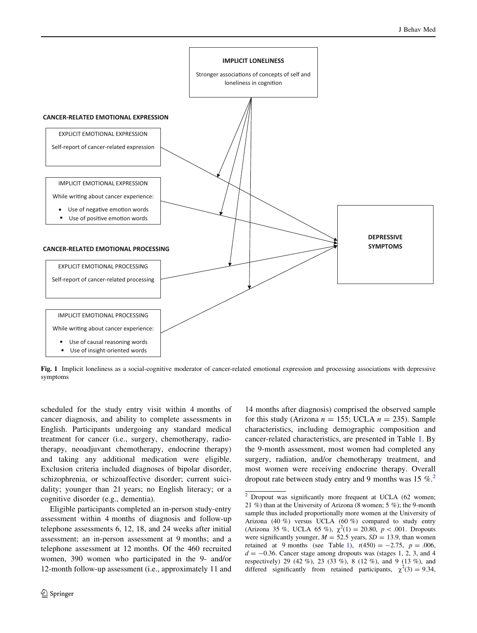<span id="page-3-0"></span>

Fig. 1 Implicit loneliness as a social-cognitive moderator of cancer-related emotional expression and processing associations with depressive symptoms

scheduled for the study entry visit within 4 months of cancer diagnosis, and ability to complete assessments in English. Participants undergoing any standard medical treatment for cancer (i.e., surgery, chemotherapy, radiotherapy, neoadjuvant chemotherapy, endocrine therapy) and taking any additional medication were eligible. Exclusion criteria included diagnoses of bipolar disorder, schizophrenia, or schizoaffective disorder; current suicidality; younger than 21 years; no English literacy; or a cognitive disorder (e.g., dementia).

Eligible participants completed an in-person study-entry assessment within 4 months of diagnosis and follow-up telephone assessments 6, 12, 18, and 24 weeks after initial assessment; an in-person assessment at 9 months; and a telephone assessment at 12 months. Of the 460 recruited women, 390 women who participated in the 9- and/or 12-month follow-up assessment (i.e., approximately 11 and

14 months after diagnosis) comprised the observed sample for this study (Arizona  $n = 155$ ; UCLA  $n = 235$ ). Sample characteristics, including demographic composition and cancer-related characteristics, are presented in Table [1](#page-4-0). By the 9-month assessment, most women had completed any surgery, radiation, and/or chemotherapy treatment, and most women were receiving endocrine therapy. Overall dropout rate between study entry and 9 months was 15  $\%$ <sup>2</sup>.

<sup>&</sup>lt;sup>2</sup> Dropout was significantly more frequent at UCLA (62 women; 21 %) than at the University of Arizona (8 women; 5 %); the 9-month sample thus included proportionally more women at the University of Arizona (40 %) versus UCLA (60 %) compared to study entry (Arizona 35 %, UCLA 65 %),  $\chi^2(1) = 20.80$ ,  $p < .001$ . Dropouts were significantly younger,  $M = 52.5$  years,  $SD = 13.9$ , than women retained at 9 months (see Table [1\)](#page-4-0),  $t(450) = -2.75$ ,  $p = .006$ ,  $d = -0.36$ . Cancer stage among dropouts was (stages 1, 2, 3, and 4) respectively) 29 (42 %), 23 (33 %), 8 (12 %), and 9 (13 %), and differed significantly from retained participants,  $\chi^2(3) = 9.34$ ,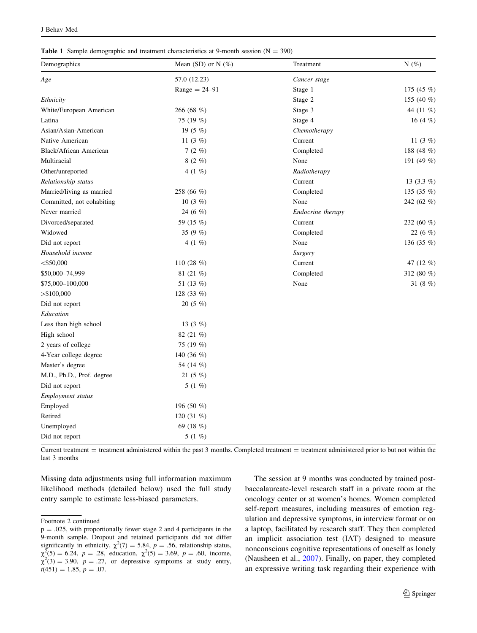<span id="page-4-0"></span>**Table 1** Sample demographic and treatment characteristics at 9-month session  $(N = 390)$ 

| Demographics                  | Mean (SD) or $N$ (%) | Treatment         | $N(\%)$      |  |
|-------------------------------|----------------------|-------------------|--------------|--|
| Age                           | 57.0 (12.23)         | Cancer stage      |              |  |
|                               | $Range = 24-91$      | Stage 1           | 175 $(45\%)$ |  |
| Ethnicity                     |                      | Stage 2           | 155 (40 %)   |  |
| White/European American       | 266 (68 %)           | Stage 3           | 44 (11 %)    |  |
| Latina                        | 75 (19 %)            | Stage 4           | 16 $(4 \%)$  |  |
| Asian/Asian-American          | 19 $(5 \%)$          | Chemotherapy      |              |  |
| Native American               | 11 $(3 \%)$          | Current           | 11 $(3 \%)$  |  |
| <b>Black/African American</b> | 7(2%)                | Completed         | 188 (48 %)   |  |
| Multiracial                   | 8(2%)                | None              | 191 (49 %)   |  |
| Other/unreported              | 4 (1 $%$ )           | Radiotherapy      |              |  |
| Relationship status           |                      | Current           | 13 $(3.3\%)$ |  |
| Married/living as married     | 258 (66 %)           | Completed         | 135 $(35\%)$ |  |
| Committed, not cohabiting     | 10 $(3 \%)$          | None              | 242 (62 %)   |  |
| Never married                 | 24 (6 $%$ )          | Endocrine therapy |              |  |
| Divorced/separated            | 59 (15 %)            | Current           | 232 $(60\%$  |  |
| Widowed                       | 35 (9 %)             | Completed         | 22 (6 $%$ )  |  |
| Did not report                | 4 (1 $%$ )           | None              | 136 (35 %)   |  |
| Household income              |                      | Surgery           |              |  |
| $<$ \$50,000                  | 110 $(28 \%)$        | Current           | 47 (12 %)    |  |
| \$50,000-74,999               | 81 (21 %)            | Completed         | 312 (80 %)   |  |
| \$75,000-100,000              | 51 (13 %)            | None              | 31 $(8 \%)$  |  |
| $>$ \$100,000                 | 128 (33 %)           |                   |              |  |
| Did not report                | $20(5\%)$            |                   |              |  |
| Education                     |                      |                   |              |  |
| Less than high school         | 13 (3 %)             |                   |              |  |
| High school                   | 82 (21 %)            |                   |              |  |
| 2 years of college            | 75 (19 %)            |                   |              |  |
| 4-Year college degree         | 140 (36 %)           |                   |              |  |
| Master's degree               | 54 (14 %)            |                   |              |  |
| M.D., Ph.D., Prof. degree     | 21 $(5 \%)$          |                   |              |  |
| Did not report                | 5 $(1 \%)$           |                   |              |  |
| Employment status             |                      |                   |              |  |
| Employed                      | 196 (50 %)           |                   |              |  |
| Retired                       | 120 (31 %)           |                   |              |  |
| Unemployed                    | 69 $(18\%)$          |                   |              |  |
| Did not report                | 5 $(1 \%)$           |                   |              |  |

Current treatment = treatment administered within the past 3 months. Completed treatment = treatment administered prior to but not within the last 3 months

Missing data adjustments using full information maximum likelihood methods (detailed below) used the full study entry sample to estimate less-biased parameters.

Footnote 2 continued

The session at 9 months was conducted by trained postbaccalaureate-level research staff in a private room at the oncology center or at women's homes. Women completed self-report measures, including measures of emotion regulation and depressive symptoms, in interview format or on a laptop, facilitated by research staff. They then completed an implicit association test (IAT) designed to measure nonconscious cognitive representations of oneself as lonely (Nausheen et al., [2007\)](#page-11-0). Finally, on paper, they completed an expressive writing task regarding their experience with

 $p = .025$ , with proportionally fewer stage 2 and 4 participants in the 9-month sample. Dropout and retained participants did not differ significantly in ethnicity,  $\chi^2(7) = 5.84$ ,  $p = .56$ , relationship status,  $\chi^2(5) = 6.24$ ,  $p = .28$ , education,  $\chi^2(5) = 3.69$ ,  $p = .60$ , income,  $\chi^2(3) = 3.90$ ,  $p = .27$ , or depressive symptoms at study entry,  $t(451) = 1.85, p = .07.$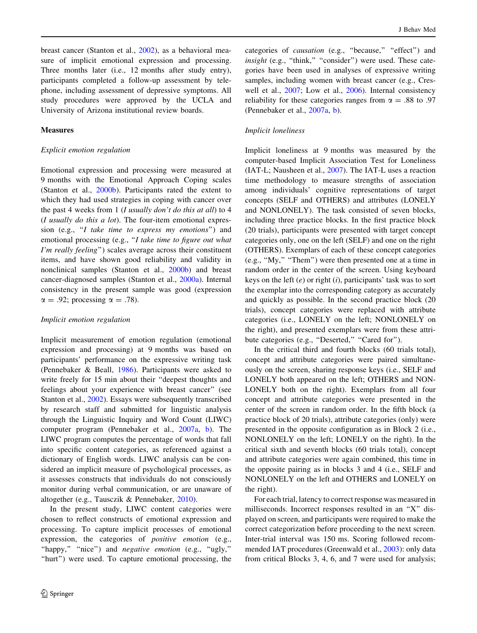breast cancer (Stanton et al., [2002](#page-11-0)), as a behavioral measure of implicit emotional expression and processing. Three months later (i.e., 12 months after study entry), participants completed a follow-up assessment by telephone, including assessment of depressive symptoms. All study procedures were approved by the UCLA and University of Arizona institutional review boards.

## **Measures**

## Explicit emotion regulation

Emotional expression and processing were measured at 9 months with the Emotional Approach Coping scales (Stanton et al., [2000b](#page-11-0)). Participants rated the extent to which they had used strategies in coping with cancer over the past 4 weeks from  $1$  (*I usually don't do this at all*) to 4 (I usually do this a lot). The four-item emotional expression (e.g., "I take time to express my emotions") and emotional processing (e.g., "I take time to figure out what I'm really feeling'') scales average across their constituent items, and have shown good reliability and validity in nonclinical samples (Stanton et al., [2000b\)](#page-11-0) and breast cancer-diagnosed samples (Stanton et al., [2000a\)](#page-11-0). Internal consistency in the present sample was good (expression  $\alpha = .92$ ; processing  $\alpha = .78$ ).

#### Implicit emotion regulation

Implicit measurement of emotion regulation (emotional expression and processing) at 9 months was based on participants' performance on the expressive writing task (Pennebaker & Beall, [1986\)](#page-11-0). Participants were asked to write freely for 15 min about their ''deepest thoughts and feelings about your experience with breast cancer'' (see Stanton et al., [2002](#page-11-0)). Essays were subsequently transcribed by research staff and submitted for linguistic analysis through the Linguistic Inquiry and Word Count (LIWC) computer program (Pennebaker et al., [2007a,](#page-11-0) [b\)](#page-11-0). The LIWC program computes the percentage of words that fall into specific content categories, as referenced against a dictionary of English words. LIWC analysis can be considered an implicit measure of psychological processes, as it assesses constructs that individuals do not consciously monitor during verbal communication, or are unaware of altogether (e.g., Tausczik & Pennebaker, [2010](#page-11-0)).

In the present study, LIWC content categories were chosen to reflect constructs of emotional expression and processing. To capture implicit processes of emotional expression, the categories of positive emotion (e.g., "happy," "nice") and negative emotion (e.g., "ugly," "hurt") were used. To capture emotional processing, the categories of *causation* (e.g., "because," "effect") and insight (e.g., "think," "consider") were used. These categories have been used in analyses of expressive writing samples, including women with breast cancer (e.g., Cres-well et al., [2007](#page-10-0); Low et al., [2006](#page-11-0)). Internal consistency reliability for these categories ranges from  $\alpha = .88$  to .97 (Pennebaker et al., [2007a](#page-11-0), [b\)](#page-11-0).

## Implicit loneliness

Implicit loneliness at 9 months was measured by the computer-based Implicit Association Test for Loneliness (IAT-L; Nausheen et al., [2007\)](#page-11-0). The IAT-L uses a reaction time methodology to measure strengths of association among individuals' cognitive representations of target concepts (SELF and OTHERS) and attributes (LONELY and NONLONELY). The task consisted of seven blocks, including three practice blocks. In the first practice block (20 trials), participants were presented with target concept categories only, one on the left (SELF) and one on the right (OTHERS). Exemplars of each of these concept categories (e.g., ''My,'' ''Them'') were then presented one at a time in random order in the center of the screen. Using keyboard keys on the left  $(e)$  or right  $(i)$ , participants' task was to sort the exemplar into the corresponding category as accurately and quickly as possible. In the second practice block (20 trials), concept categories were replaced with attribute categories (i.e., LONELY on the left; NONLONELY on the right), and presented exemplars were from these attribute categories (e.g., "Deserted," "Cared for").

In the critical third and fourth blocks (60 trials total), concept and attribute categories were paired simultaneously on the screen, sharing response keys (i.e., SELF and LONELY both appeared on the left; OTHERS and NON-LONELY both on the right). Exemplars from all four concept and attribute categories were presented in the center of the screen in random order. In the fifth block (a practice block of 20 trials), attribute categories (only) were presented in the opposite configuration as in Block 2 (i.e., NONLONELY on the left; LONELY on the right). In the critical sixth and seventh blocks (60 trials total), concept and attribute categories were again combined, this time in the opposite pairing as in blocks 3 and 4 (i.e., SELF and NONLONELY on the left and OTHERS and LONELY on the right).

For each trial, latency to correct response was measured in milliseconds. Incorrect responses resulted in an ''X'' displayed on screen, and participants were required to make the correct categorization before proceeding to the next screen. Inter-trial interval was 150 ms. Scoring followed recommended IAT procedures (Greenwald et al., [2003\)](#page-11-0): only data from critical Blocks 3, 4, 6, and 7 were used for analysis;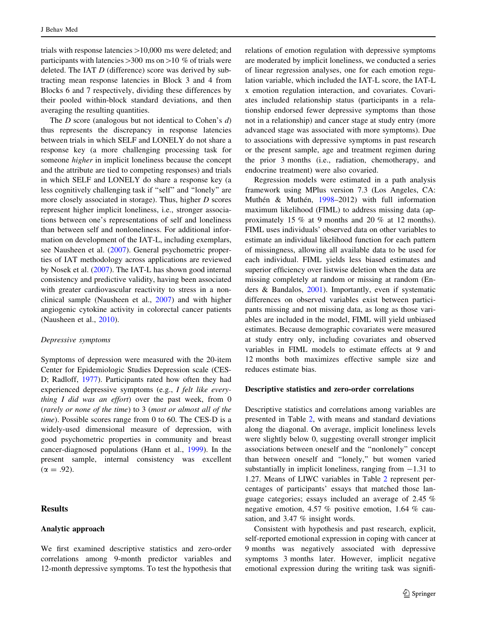trials with response latencies  $>10,000$  ms were deleted; and participants with latencies  $>300$  ms on  $>10$  % of trials were deleted. The IAT D (difference) score was derived by subtracting mean response latencies in Block 3 and 4 from Blocks 6 and 7 respectively, dividing these differences by their pooled within-block standard deviations, and then averaging the resulting quantities.

The D score (analogous but not identical to Cohen's d) thus represents the discrepancy in response latencies between trials in which SELF and LONELY do not share a response key (a more challenging processing task for someone higher in implicit loneliness because the concept and the attribute are tied to competing responses) and trials in which SELF and LONELY do share a response key (a less cognitively challenging task if ''self'' and ''lonely'' are more closely associated in storage). Thus, higher D scores represent higher implicit loneliness, i.e., stronger associations between one's representations of self and loneliness than between self and nonloneliness. For additional information on development of the IAT-L, including exemplars, see Nausheen et al. ([2007\)](#page-11-0). General psychometric properties of IAT methodology across applications are reviewed by Nosek et al. ([2007\)](#page-11-0). The IAT-L has shown good internal consistency and predictive validity, having been associated with greater cardiovascular reactivity to stress in a nonclinical sample (Nausheen et al., [2007](#page-11-0)) and with higher angiogenic cytokine activity in colorectal cancer patients (Nausheen et al., [2010](#page-11-0)).

## Depressive symptoms

Symptoms of depression were measured with the 20-item Center for Epidemiologic Studies Depression scale (CES-D; Radloff, [1977](#page-11-0)). Participants rated how often they had experienced depressive symptoms (e.g., I felt like everything I did was an effort) over the past week, from  $0$ (rarely or none of the time) to 3 (most or almost all of the time). Possible scores range from 0 to 60. The CES-D is a widely-used dimensional measure of depression, with good psychometric properties in community and breast cancer-diagnosed populations (Hann et al., [1999](#page-11-0)). In the present sample, internal consistency was excellent  $(\alpha = .92)$ .

## **Results**

## Analytic approach

We first examined descriptive statistics and zero-order correlations among 9-month predictor variables and 12-month depressive symptoms. To test the hypothesis that relations of emotion regulation with depressive symptoms are moderated by implicit loneliness, we conducted a series of linear regression analyses, one for each emotion regulation variable, which included the IAT-L score, the IAT-L x emotion regulation interaction, and covariates. Covariates included relationship status (participants in a relationship endorsed fewer depressive symptoms than those not in a relationship) and cancer stage at study entry (more advanced stage was associated with more symptoms). Due to associations with depressive symptoms in past research or the present sample, age and treatment regimen during the prior 3 months (i.e., radiation, chemotherapy, and endocrine treatment) were also covaried.

Regression models were estimated in a path analysis framework using MPlus version 7.3 (Los Angeles, CA: Muthén & Muthén, [1998–](#page-11-0)2012) with full information maximum likelihood (FIML) to address missing data (approximately 15 % at 9 months and 20 % at 12 months). FIML uses individuals' observed data on other variables to estimate an individual likelihood function for each pattern of missingness, allowing all available data to be used for each individual. FIML yields less biased estimates and superior efficiency over listwise deletion when the data are missing completely at random or missing at random (Enders & Bandalos, [2001\)](#page-11-0). Importantly, even if systematic differences on observed variables exist between participants missing and not missing data, as long as those variables are included in the model, FIML will yield unbiased estimates. Because demographic covariates were measured at study entry only, including covariates and observed variables in FIML models to estimate effects at 9 and 12 months both maximizes effective sample size and reduces estimate bias.

#### Descriptive statistics and zero-order correlations

Descriptive statistics and correlations among variables are presented in Table [2,](#page-7-0) with means and standard deviations along the diagonal. On average, implicit loneliness levels were slightly below 0, suggesting overall stronger implicit associations between oneself and the ''nonlonely'' concept than between oneself and ''lonely,'' but women varied substantially in implicit loneliness, ranging from  $-1.31$  to 1.27. Means of LIWC variables in Table [2](#page-7-0) represent percentages of participants' essays that matched those language categories; essays included an average of 2.45 % negative emotion, 4.57 % positive emotion, 1.64 % causation, and 3.47 % insight words.

Consistent with hypothesis and past research, explicit, self-reported emotional expression in coping with cancer at 9 months was negatively associated with depressive symptoms 3 months later. However, implicit negative emotional expression during the writing task was signifi-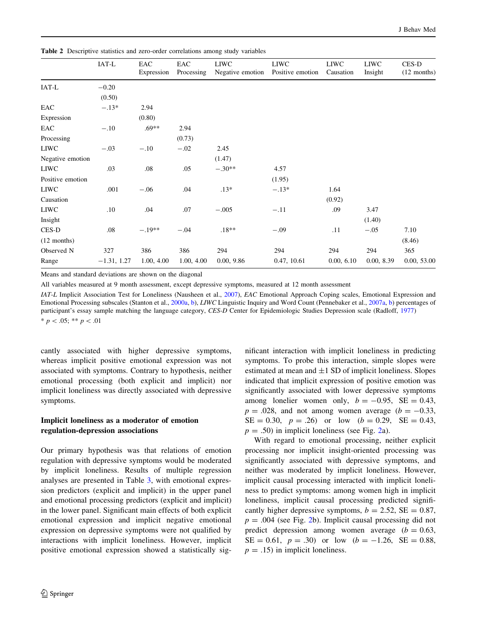<span id="page-7-0"></span>Table 2 Descriptive statistics and zero-order correlations among study variables

|                  | IAT-L         | EAC<br>Expression | EAC<br>Processing | LIWC<br>Negative emotion | LIWC<br>Positive emotion | LIWC<br>Causation | <b>LIWC</b><br>Insight | CES-D<br>$(12$ months) |
|------------------|---------------|-------------------|-------------------|--------------------------|--------------------------|-------------------|------------------------|------------------------|
| IAT-L            | $-0.20$       |                   |                   |                          |                          |                   |                        |                        |
|                  | (0.50)        |                   |                   |                          |                          |                   |                        |                        |
| EAC              | $-.13*$       | 2.94              |                   |                          |                          |                   |                        |                        |
| Expression       |               | (0.80)            |                   |                          |                          |                   |                        |                        |
| EAC              | $-.10$        | $.69**$           | 2.94              |                          |                          |                   |                        |                        |
| Processing       |               |                   | (0.73)            |                          |                          |                   |                        |                        |
| <b>LIWC</b>      | $-.03$        | $-.10$            | $-.02$            | 2.45                     |                          |                   |                        |                        |
| Negative emotion |               |                   |                   | (1.47)                   |                          |                   |                        |                        |
| <b>LIWC</b>      | .03           | $.08\,$           | .05               | $-.30**$                 | 4.57                     |                   |                        |                        |
| Positive emotion |               |                   |                   |                          | (1.95)                   |                   |                        |                        |
| <b>LIWC</b>      | .001          | $-.06$            | .04               | $.13*$                   | $-.13*$                  | 1.64              |                        |                        |
| Causation        |               |                   |                   |                          |                          | (0.92)            |                        |                        |
| <b>LIWC</b>      | .10           | .04               | .07               | $-.005$                  | $-.11$                   | .09               | 3.47                   |                        |
| Insight          |               |                   |                   |                          |                          |                   | (1.40)                 |                        |
| CES-D            | .08           | $-.19**$          | $-.04$            | $.18**$                  | $-.09$                   | .11               | $-.05$                 | 7.10                   |
| $(12$ months)    |               |                   |                   |                          |                          |                   |                        | (8.46)                 |
| Observed N       | 327           | 386               | 386               | 294                      | 294                      | 294               | 294                    | 365                    |
| Range            | $-1.31, 1.27$ | 1.00, 4.00        | 1.00, 4.00        | 0.00, 9.86               | 0.47, 10.61              | 0.00, 6.10        | 0.00, 8.39             | 0.00, 53.00            |

Means and standard deviations are shown on the diagonal

All variables measured at 9 month assessment, except depressive symptoms, measured at 12 month assessment

IAT-L Implicit Association Test for Loneliness (Nausheen et al., [2007](#page-11-0)), EAC Emotional Approach Coping scales, Emotional Expression and Emotional Processing subscales (Stanton et al., [2000a](#page-11-0), [b\)](#page-11-0), LIWC Linguistic Inquiry and Word Count (Pennebaker et al., [2007a](#page-11-0), [b\)](#page-11-0) percentages of participant's essay sample matching the language category, CES-D Center for Epidemiologic Studies Depression scale (Radloff, [1977](#page-11-0))  $* p < .05; ** p < .01$ 

cantly associated with higher depressive symptoms, whereas implicit positive emotional expression was not associated with symptoms. Contrary to hypothesis, neither emotional processing (both explicit and implicit) nor implicit loneliness was directly associated with depressive symptoms.

# Implicit loneliness as a moderator of emotion regulation-depression associations

Our primary hypothesis was that relations of emotion regulation with depressive symptoms would be moderated by implicit loneliness. Results of multiple regression analyses are presented in Table [3,](#page-8-0) with emotional expression predictors (explicit and implicit) in the upper panel and emotional processing predictors (explicit and implicit) in the lower panel. Significant main effects of both explicit emotional expression and implicit negative emotional expression on depressive symptoms were not qualified by interactions with implicit loneliness. However, implicit positive emotional expression showed a statistically significant interaction with implicit loneliness in predicting symptoms. To probe this interaction, simple slopes were estimated at mean and  $\pm 1$  SD of implicit loneliness. Slopes indicated that implicit expression of positive emotion was significantly associated with lower depressive symptoms among lonelier women only,  $b = -0.95$ ,  $SE = 0.43$ ,  $p = .028$ , and not among women average ( $b = -0.33$ ,  $SE = 0.30, p = .26$  or low  $(b = 0.29, SE = 0.43,$  $p = .50$ ) in implicit loneliness (see Fig. [2](#page-9-0)a).

With regard to emotional processing, neither explicit processing nor implicit insight-oriented processing was significantly associated with depressive symptoms, and neither was moderated by implicit loneliness. However, implicit causal processing interacted with implicit loneliness to predict symptoms: among women high in implicit loneliness, implicit causal processing predicted significantly higher depressive symptoms,  $b = 2.52$ , SE = 0.87,  $p = .004$  (see Fig. [2](#page-9-0)b). Implicit causal processing did not predict depression among women average  $(b = 0.63,$  $SE = 0.61$ ,  $p = .30$  or low  $(b = -1.26, SE = 0.88,$  $p = .15$ ) in implicit loneliness.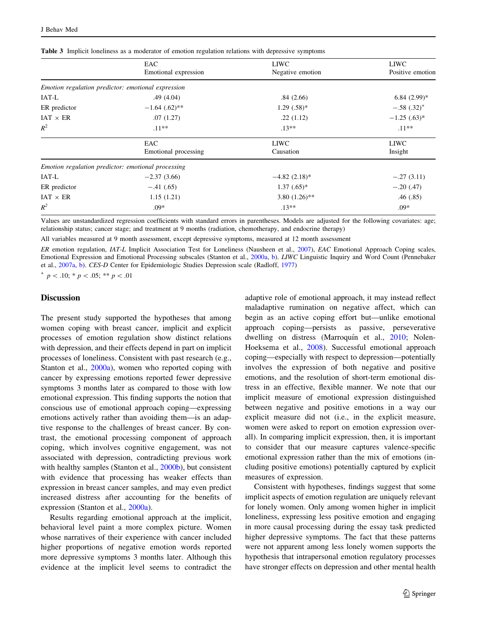|                 | EAC                                                       | <b>LIWC</b>      | <b>LIWC</b><br>Positive emotion |  |
|-----------------|-----------------------------------------------------------|------------------|---------------------------------|--|
|                 | Emotional expression                                      | Negative emotion |                                 |  |
|                 | Emotion regulation predictor: emotional expression        |                  |                                 |  |
| IAT-L           | .49(4.04)                                                 | .84(2.66)        | $6.84(2.99)*$                   |  |
| ER predictor    | $-1.64$ (.62)**                                           | $1.29(.58)$ *    | $-.58(.32)^{+}$                 |  |
| $IAT \times ER$ | .07(1.27)                                                 | .22(1.12)        | $-1.25$ (.63)*                  |  |
| $R^2$           | $.11**$                                                   | $.13**$          | $.11**$                         |  |
|                 | EAC                                                       | <b>LIWC</b>      | <b>LIWC</b>                     |  |
|                 | Emotional processing                                      | Causation        | Insight                         |  |
|                 | <i>Emotion regulation predictor: emotional processing</i> |                  |                                 |  |
| IAT-L           | $-2.37(3.66)$                                             | $-4.82$ (2.18)*  | $-.27(3.11)$                    |  |
| ER predictor    | $-.41(.65)$                                               | $1.37(.65)^*$    | $-.20(.47)$                     |  |
| $IAT \times ER$ | 1.15(1.21)                                                | $3.80(1.26)$ **  | .46(.85)                        |  |
| $R^2$           | $.09*$                                                    | $.13**$          | $.09*$                          |  |

<span id="page-8-0"></span>Table 3 Implicit loneliness as a moderator of emotion regulation relations with depressive symptoms

Values are unstandardized regression coefficients with standard errors in parentheses. Models are adjusted for the following covariates: age; relationship status; cancer stage; and treatment at 9 months (radiation, chemotherapy, and endocrine therapy)

All variables measured at 9 month assessment, except depressive symptoms, measured at 12 month assessment

ER emotion regulation, IAT-L Implicit Association Test for Loneliness (Nausheen et al., [2007\)](#page-11-0), EAC Emotional Approach Coping scales, Emotional Expression and Emotional Processing subscales (Stanton et al., [2000a](#page-11-0), [b\)](#page-11-0). LIWC Linguistic Inquiry and Word Count (Pennebaker et al., [2007a,](#page-11-0) [b](#page-11-0)). CES-D Center for Epidemiologic Studies Depression scale (Radloff, [1977](#page-11-0))

 $+p\lt.10$ ; \*  $p\lt.05$ ; \*\*  $p\lt.01$ 

# Discussion

The present study supported the hypotheses that among women coping with breast cancer, implicit and explicit processes of emotion regulation show distinct relations with depression, and their effects depend in part on implicit processes of loneliness. Consistent with past research (e.g., Stanton et al., [2000a\)](#page-11-0), women who reported coping with cancer by expressing emotions reported fewer depressive symptoms 3 months later as compared to those with low emotional expression. This finding supports the notion that conscious use of emotional approach coping—expressing emotions actively rather than avoiding them—is an adaptive response to the challenges of breast cancer. By contrast, the emotional processing component of approach coping, which involves cognitive engagement, was not associated with depression, contradicting previous work with healthy samples (Stanton et al., [2000b](#page-11-0)), but consistent with evidence that processing has weaker effects than expression in breast cancer samples, and may even predict increased distress after accounting for the benefits of expression (Stanton et al., [2000a\)](#page-11-0).

Results regarding emotional approach at the implicit, behavioral level paint a more complex picture. Women whose narratives of their experience with cancer included higher proportions of negative emotion words reported more depressive symptoms 3 months later. Although this evidence at the implicit level seems to contradict the adaptive role of emotional approach, it may instead reflect maladaptive rumination on negative affect, which can begin as an active coping effort but—unlike emotional approach coping—persists as passive, perseverative dwelling on distress (Marroquín et al., [2010;](#page-11-0) Nolen-Hoeksema et al., [2008](#page-11-0)). Successful emotional approach coping—especially with respect to depression—potentially involves the expression of both negative and positive emotions, and the resolution of short-term emotional distress in an effective, flexible manner. We note that our implicit measure of emotional expression distinguished between negative and positive emotions in a way our explicit measure did not (i.e., in the explicit measure, women were asked to report on emotion expression overall). In comparing implicit expression, then, it is important to consider that our measure captures valence-specific emotional expression rather than the mix of emotions (including positive emotions) potentially captured by explicit measures of expression.

Consistent with hypotheses, findings suggest that some implicit aspects of emotion regulation are uniquely relevant for lonely women. Only among women higher in implicit loneliness, expressing less positive emotion and engaging in more causal processing during the essay task predicted higher depressive symptoms. The fact that these patterns were not apparent among less lonely women supports the hypothesis that intrapersonal emotion regulatory processes have stronger effects on depression and other mental health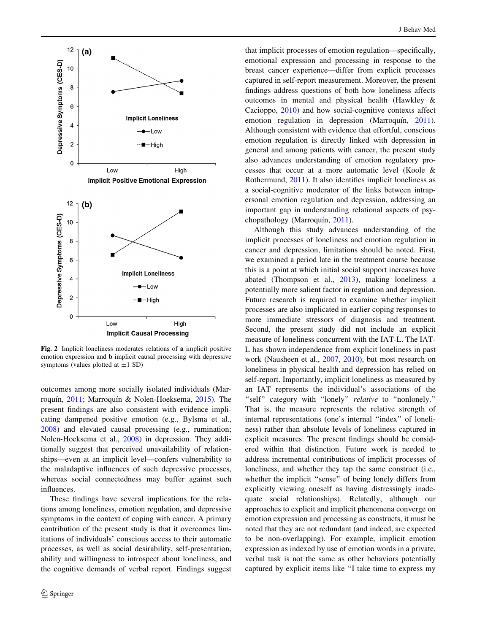<span id="page-9-0"></span>

Fig. 2 Implicit loneliness moderates relations of a implicit positive emotion expression and b implicit causal processing with depressive symptoms (values plotted at  $\pm 1$  SD)

outcomes among more socially isolated individuals (Mar-roquín, [2011](#page-11-0); Marroquín & Nolen-Hoeksema, [2015\)](#page-11-0). The present findings are also consistent with evidence implicating dampened positive emotion (e.g., Bylsma et al., [2008\)](#page-10-0) and elevated causal processing (e.g., rumination; Nolen-Hoeksema et al., [2008\)](#page-11-0) in depression. They additionally suggest that perceived unavailability of relationships—even at an implicit level—confers vulnerability to the maladaptive influences of such depressive processes, whereas social connectedness may buffer against such influences.

These findings have several implications for the relations among loneliness, emotion regulation, and depressive symptoms in the context of coping with cancer. A primary contribution of the present study is that it overcomes limitations of individuals' conscious access to their automatic processes, as well as social desirability, self-presentation, ability and willingness to introspect about loneliness, and the cognitive demands of verbal report. Findings suggest

that implicit processes of emotion regulation—specifically, emotional expression and processing in response to the breast cancer experience—differ from explicit processes captured in self-report measurement. Moreover, the present findings address questions of both how loneliness affects outcomes in mental and physical health (Hawkley & Cacioppo, [2010\)](#page-11-0) and how social-cognitive contexts affect emotion regulation in depression (Marroquín, [2011](#page-11-0)). Although consistent with evidence that effortful, conscious emotion regulation is directly linked with depression in general and among patients with cancer, the present study also advances understanding of emotion regulatory processes that occur at a more automatic level (Koole & Rothermund, [2011\)](#page-11-0). It also identifies implicit loneliness as a social-cognitive moderator of the links between intrapersonal emotion regulation and depression, addressing an important gap in understanding relational aspects of psy-chopathology (Marroquín, [2011\)](#page-11-0).

Although this study advances understanding of the implicit processes of loneliness and emotion regulation in cancer and depression, limitations should be noted. First, we examined a period late in the treatment course because this is a point at which initial social support increases have abated (Thompson et al., [2013](#page-12-0)), making loneliness a potentially more salient factor in regulation and depression. Future research is required to examine whether implicit processes are also implicated in earlier coping responses to more immediate stressors of diagnosis and treatment. Second, the present study did not include an explicit measure of loneliness concurrent with the IAT-L. The IAT-L has shown independence from explicit loneliness in past work (Nausheen et al., [2007,](#page-11-0) [2010\)](#page-11-0), but most research on loneliness in physical health and depression has relied on self-report. Importantly, implicit loneliness as measured by an IAT represents the individual's associations of the "self" category with "lonely" relative to "nonlonely." That is, the measure represents the relative strength of internal representations (one's internal ''index'' of loneliness) rather than absolute levels of loneliness captured in explicit measures. The present findings should be considered within that distinction. Future work is needed to address incremental contributions of implicit processes of loneliness, and whether they tap the same construct (i.e., whether the implicit "sense" of being lonely differs from explicitly viewing oneself as having distressingly inadequate social relationships). Relatedly, although our approaches to explicit and implicit phenomena converge on emotion expression and processing as constructs, it must be noted that they are not redundant (and indeed, are expected to be non-overlapping). For example, implicit emotion expression as indexed by use of emotion words in a private, verbal task is not the same as other behaviors potentially captured by explicit items like ''I take time to express my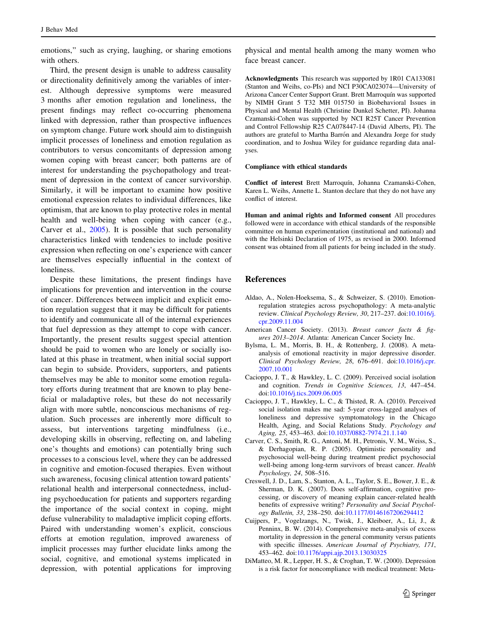<span id="page-10-0"></span>emotions,'' such as crying, laughing, or sharing emotions with others.

Third, the present design is unable to address causality or directionality definitively among the variables of interest. Although depressive symptoms were measured 3 months after emotion regulation and loneliness, the present findings may reflect co-occurring phenomena linked with depression, rather than prospective influences on symptom change. Future work should aim to distinguish implicit processes of loneliness and emotion regulation as contributors to versus concomitants of depression among women coping with breast cancer; both patterns are of interest for understanding the psychopathology and treatment of depression in the context of cancer survivorship. Similarly, it will be important to examine how positive emotional expression relates to individual differences, like optimism, that are known to play protective roles in mental health and well-being when coping with cancer (e.g., Carver et al., 2005). It is possible that such personality characteristics linked with tendencies to include positive expression when reflecting on one's experience with cancer are themselves especially influential in the context of loneliness.

Despite these limitations, the present findings have implications for prevention and intervention in the course of cancer. Differences between implicit and explicit emotion regulation suggest that it may be difficult for patients to identify and communicate all of the internal experiences that fuel depression as they attempt to cope with cancer. Importantly, the present results suggest special attention should be paid to women who are lonely or socially isolated at this phase in treatment, when initial social support can begin to subside. Providers, supporters, and patients themselves may be able to monitor some emotion regulatory efforts during treatment that are known to play beneficial or maladaptive roles, but these do not necessarily align with more subtle, nonconscious mechanisms of regulation. Such processes are inherently more difficult to assess, but interventions targeting mindfulness (i.e., developing skills in observing, reflecting on, and labeling one's thoughts and emotions) can potentially bring such processes to a conscious level, where they can be addressed in cognitive and emotion-focused therapies. Even without such awareness, focusing clinical attention toward patients' relational health and interpersonal connectedness, including psychoeducation for patients and supporters regarding the importance of the social context in coping, might defuse vulnerability to maladaptive implicit coping efforts. Paired with understanding women's explicit, conscious efforts at emotion regulation, improved awareness of implicit processes may further elucidate links among the social, cognitive, and emotional systems implicated in depression, with potential applications for improving

physical and mental health among the many women who face breast cancer.

Acknowledgments This research was supported by 1R01 CA133081 (Stanton and Weihs, co-PIs) and NCI P30CA023074—University of Arizona Cancer Center Support Grant. Brett Marroquín was supported by NIMH Grant 5 T32 MH 015750 in Biobehavioral Issues in Physical and Mental Health (Christine Dunkel Schetter, PI). Johanna Czamanski-Cohen was supported by NCI R25T Cancer Prevention and Control Fellowship R25 CA078447-14 (David Alberts, PI). The authors are grateful to Martha Barrón and Alexandra Jorge for study coordination, and to Joshua Wiley for guidance regarding data analyses.

#### Compliance with ethical standards

Conflict of interest Brett Marroquín, Johanna Czamanski-Cohen, Karen L. Weihs, Annette L. Stanton declare that they do not have any conflict of interest.

Human and animal rights and Informed consent All procedures followed were in accordance with ethical standards of the responsible committee on human experimentation (institutional and national) and with the Helsinki Declaration of 1975, as revised in 2000. Informed consent was obtained from all patients for being included in the study.

# References

- Aldao, A., Nolen-Hoeksema, S., & Schweizer, S. (2010). Emotionregulation strategies across psychopathology: A meta-analytic review. Clinical Psychology Review, 30, 217–237. doi:[10.1016/j.](http://dx.doi.org/10.1016/j.cpr.2009.11.004) [cpr.2009.11.004](http://dx.doi.org/10.1016/j.cpr.2009.11.004)
- American Cancer Society. (2013). Breast cancer facts & figures 2013–2014. Atlanta: American Cancer Society Inc.
- Bylsma, L. M., Morris, B. H., & Rottenberg, J. (2008). A metaanalysis of emotional reactivity in major depressive disorder. Clinical Psychology Review, 28, 676–691. doi:[10.1016/j.cpr.](http://dx.doi.org/10.1016/j.cpr.2007.10.001) [2007.10.001](http://dx.doi.org/10.1016/j.cpr.2007.10.001)
- Cacioppo, J. T., & Hawkley, L. C. (2009). Perceived social isolation and cognition. Trends in Cognitive Sciences, 13, 447–454. doi[:10.1016/j.tics.2009.06.005](http://dx.doi.org/10.1016/j.tics.2009.06.005)
- Cacioppo, J. T., Hawkley, L. C., & Thisted, R. A. (2010). Perceived social isolation makes me sad: 5-year cross-lagged analyses of loneliness and depressive symptomatology in the Chicago Health, Aging, and Social Relations Study. Psychology and Aging, 25, 453–463. doi:[10.1037/0882-7974.21.1.140](http://dx.doi.org/10.1037/0882-7974.21.1.140)
- Carver, C. S., Smith, R. G., Antoni, M. H., Petronis, V. M., Weiss, S., & Derhagopian, R. P. (2005). Optimistic personality and psychosocial well-being during treatment predict psychosocial well-being among long-term survivors of breast cancer. Health Psychology, 24, 508–516.
- Creswell, J. D., Lam, S., Stanton, A. L., Taylor, S. E., Bower, J. E., & Sherman, D. K. (2007). Does self-affirmation, cognitive processing, or discovery of meaning explain cancer-related health benefits of expressive writing? Personality and Social Psychology Bulletin, 33, 238–250. doi[:10.1177/0146167206294412](http://dx.doi.org/10.1177/0146167206294412)
- Cuijpers, P., Vogelzangs, N., Twisk, J., Kleiboer, A., Li, J., & Penninx, B. W. (2014). Comprehensive meta-analysis of excess mortality in depression in the general community versus patients with specific illnesses. American Journal of Psychiatry, 171, 453–462. doi:[10.1176/appi.ajp.2013.13030325](http://dx.doi.org/10.1176/appi.ajp.2013.13030325)
- DiMatteo, M. R., Lepper, H. S., & Croghan, T. W. (2000). Depression is a risk factor for noncompliance with medical treatment: Meta-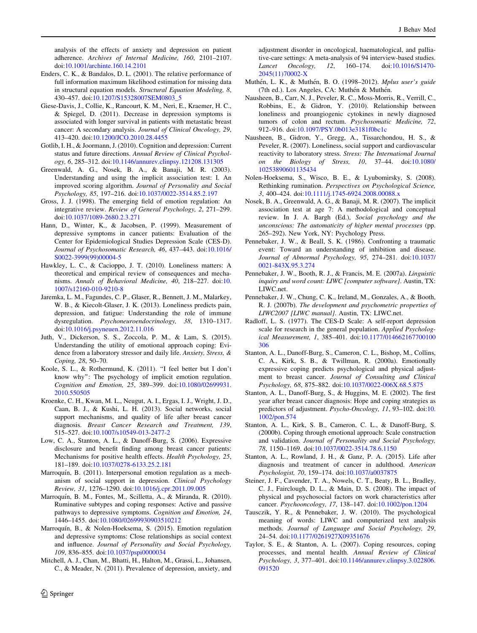<span id="page-11-0"></span>analysis of the effects of anxiety and depression on patient adherence. Archives of Internal Medicine, 160, 2101–2107. doi[:10.1001/archinte.160.14.2101](http://dx.doi.org/10.1001/archinte.160.14.2101)

- Enders, C. K., & Bandalos, D. L. (2001). The relative performance of full information maximum likelihood estimation for missing data in structural equation models. Structural Equation Modeling, 8, 430–457. doi:[10.1207/S15328007SEM0803\\_5](http://dx.doi.org/10.1207/S15328007SEM0803_5)
- Giese-Davis, J., Collie, K., Rancourt, K. M., Neri, E., Kraemer, H. C., & Spiegel, D. (2011). Decrease in depression symptoms is associated with longer survival in patients with metastatic breast cancer: A secondary analysis. Journal of Clinical Oncology, 29, 413–420. doi:[10.1200/JCO.2010.28.4455](http://dx.doi.org/10.1200/JCO.2010.28.4455)
- Gotlib, I. H., & Joormann, J. (2010). Cognition and depression: Current status and future directions. Annual Review of Clinical Psychology, 6, 285–312. doi[:10.1146/annurev.clinpsy.121208.131305](http://dx.doi.org/10.1146/annurev.clinpsy.121208.131305)
- Greenwald, A. G., Nosek, B. A., & Banaji, M. R. (2003). Understanding and using the implicit association test: I. An improved scoring algorithm. Journal of Personality and Social Psychology, 85, 197–216. doi[:10.1037/0022-3514.85.2.197](http://dx.doi.org/10.1037/0022-3514.85.2.197)
- Gross, J. J. (1998). The emerging field of emotion regulation: An integrative review. Review of General Psychology, 2, 271–299. doi[:10.1037/1089-2680.2.3.271](http://dx.doi.org/10.1037/1089-2680.2.3.271)
- Hann, D., Winter, K., & Jacobsen, P. (1999). Measurement of depressive symptoms in cancer patients: Evaluation of the Center for Epidemiological Studies Depression Scale (CES-D). Journal of Psychosomatic Research, 46, 437–443. doi[:10.1016/](http://dx.doi.org/10.1016/S0022-3999(99)00004-5) [S0022-3999\(99\)00004-5](http://dx.doi.org/10.1016/S0022-3999(99)00004-5)
- Hawkley, L. C., & Cacioppo, J. T. (2010). Loneliness matters: A theoretical and empirical review of consequences and mechanisms. Annals of Behavioral Medicine, 40, 218–227. doi:[10.](http://dx.doi.org/10.1007/s12160-010-9210-8) [1007/s12160-010-9210-8](http://dx.doi.org/10.1007/s12160-010-9210-8)
- Jaremka, L. M., Fagundes, C. P., Glaser, R., Bennett, J. M., Malarkey, W. B., & Kiecolt-Glaser, J. K. (2013). Loneliness predicts pain, depression, and fatigue: Understanding the role of immune dysregulation. Psychoneuroendocrinology, 38, 1310–1317. doi[:10.1016/j.psyneuen.2012.11.016](http://dx.doi.org/10.1016/j.psyneuen.2012.11.016)
- Juth, V., Dickerson, S. S., Zoccola, P. M., & Lam, S. (2015). Understanding the utility of emotional approach coping: Evidence from a laboratory stressor and daily life. Anxiety, Stress, & Coping, 28, 50–70.
- Koole, S. L., & Rothermund, K. (2011). ''I feel better but I don't know why'': The psychology of implicit emotion regulation. Cognition and Emotion, 25, 389–399. doi[:10.1080/02699931.](http://dx.doi.org/10.1080/02699931.2010.550505) [2010.550505](http://dx.doi.org/10.1080/02699931.2010.550505)
- Kroenke, C. H., Kwan, M. L., Neugut, A. I., Ergas, I. J., Wright, J. D., Caan, B. J., & Kushi, L. H. (2013). Social networks, social support mechanisms, and quality of life after breast cancer diagnosis. Breast Cancer Research and Treatment, 139, 515–527. doi:[10.1007/s10549-013-2477-2](http://dx.doi.org/10.1007/s10549-013-2477-2)
- Low, C. A., Stanton, A. L., & Danoff-Burg, S. (2006). Expressive disclosure and benefit finding among breast cancer patients: Mechanisms for positive health effects. Health Psychology, 25, 181–189. doi:[10.1037/0278-6133.25.2.181](http://dx.doi.org/10.1037/0278-6133.25.2.181)
- Marroquín, B. (2011). Interpersonal emotion regulation as a mechanism of social support in depression. Clinical Psychology Review, 31, 1276–1290. doi[:10.1016/j.cpr.2011.09.005](http://dx.doi.org/10.1016/j.cpr.2011.09.005)
- Marroquín, B. M., Fontes, M., Scilletta, A., & Miranda, R. (2010). Ruminative subtypes and coping responses: Active and passive pathways to depressive symptoms. Cognition and Emotion, 24, 1446–1455. doi[:10.1080/02699930903510212](http://dx.doi.org/10.1080/02699930903510212)
- Marroquín, B., & Nolen-Hoeksema, S. (2015). Emotion regulation and depressive symptoms: Close relationships as social context and influence. Journal of Personality and Social Psychology, 109, 836–855. doi:[10.1037/pspi0000034](http://dx.doi.org/10.1037/pspi0000034)
- Mitchell, A. J., Chan, M., Bhatti, H., Halton, M., Grassi, L., Johansen, C., & Meader, N. (2011). Prevalence of depression, anxiety, and

 $\textcircled{2}$  Springer

adjustment disorder in oncological, haematological, and palliative-care settings: A meta-analysis of 94 interview-based studies.<br> *Lancet* Oncology, 12, 160-174. doi:10.1016/S1470-Lancet Oncology, 12, 160–174. doi:[10.1016/S1470-](http://dx.doi.org/10.1016/S1470-2045(11)70002-X) [2045\(11\)70002-X](http://dx.doi.org/10.1016/S1470-2045(11)70002-X)

- Muthén, L. K., & Muthén, B. O. (1998–2012). Mplus user's guide (7th ed.). Los Angeles, CA: Muthén & Muthén.
- Nausheen, B., Carr, N. J., Peveler, R. C., Moss-Morris, R., Verrill, C., Robbins, E., & Gidron, Y. (2010). Relationship between loneliness and proangiogenic cytokines in newly diagnosed tumors of colon and rectum. Psychosomatic Medicine, 72, 912–916. doi:[10.1097/PSY.0b013e3181f0bc1c](http://dx.doi.org/10.1097/PSY.0b013e3181f0bc1c)
- Nausheen, B., Gidron, Y., Gregg, A., Tissarchondou, H. S., & Peveler, R. (2007). Loneliness, social support and cardiovascular reactivity to laboratory stress. Stress: The International Journal on the Biology of Stress, 10, 37–44. doi[:10.1080/](http://dx.doi.org/10.1080/10253890601135434) [10253890601135434](http://dx.doi.org/10.1080/10253890601135434)
- Nolen-Hoeksema, S., Wisco, B. E., & Lyubomirsky, S. (2008). Rethinking rumination. Perspectives on Psychological Science, 3, 400–424. doi[:10.1111/j.1745-6924.2008.00088.x](http://dx.doi.org/10.1111/j.1745-6924.2008.00088.x)
- Nosek, B. A., Greenwald, A. G., & Banaji, M. R. (2007). The implicit association test at age 7: A methodological and conceptual review. In J. A. Bargh (Ed.), Social psychology and the unconscious: The automaticity of higher mental processes (pp. 265–292). New York, NY: Psychology Press.
- Pennebaker, J. W., & Beall, S. K. (1986). Confronting a traumatic event: Toward an understanding of inhibition and disease. Journal of Abnormal Psychology, 95, 274–281. doi[:10.1037/](http://dx.doi.org/10.1037/0021-843X.95.3.274) [0021-843X.95.3.274](http://dx.doi.org/10.1037/0021-843X.95.3.274)
- Pennebaker, J. W., Booth, R. J., & Francis, M. E. (2007a). Linguistic inquiry and word count: LIWC [computer software]. Austin, TX: LIWC.net.
- Pennebaker, J. W., Chung, C. K., Ireland, M., Gonzales, A., & Booth, R. J. (2007b). The development and psychometric properties of LIWC2007 [LIWC manual]. Austin, TX: LIWC.net.
- Radloff, L. S. (1977). The CES-D Scale: A self-report depression scale for research in the general population. Applied Psychological Measurement, 1, 385–401. doi:[10.1177/014662167700100](http://dx.doi.org/10.1177/014662167700100306) [306](http://dx.doi.org/10.1177/014662167700100306)
- Stanton, A. L., Danoff-Burg, S., Cameron, C. L., Bishop, M., Collins, C. A., Kirk, S. B., & Twillman, R. (2000a). Emotionally expressive coping predicts psychological and physical adjustment to breast cancer. Journal of Consulting and Clinical Psychology, 68, 875–882. doi[:10.1037/0022-006X.68.5.875](http://dx.doi.org/10.1037/0022-006X.68.5.875)
- Stanton, A. L., Danoff-Burg, S., & Huggins, M. E. (2002). The first year after breast cancer diagnosis: Hope and coping strategies as predictors of adjustment. Psycho-Oncology, 11, 93–102. doi:[10.](http://dx.doi.org/10.1002/pon.574) [1002/pon.574](http://dx.doi.org/10.1002/pon.574)
- Stanton, A. L., Kirk, S. B., Cameron, C. L., & Danoff-Burg, S. (2000b). Coping through emotional approach: Scale construction and validation. Journal of Personality and Social Psychology, 78, 1150–1169. doi:[10.1037/0022-3514.78.6.1150](http://dx.doi.org/10.1037/0022-3514.78.6.1150)
- Stanton, A. L., Rowland, J. H., & Ganz, P. A. (2015). Life after diagnosis and treatment of cancer in adulthood. American Psychologist, 70, 159–174. doi:[10.1037/a0037875](http://dx.doi.org/10.1037/a0037875)
- Steiner, J. F., Cavender, T. A., Nowels, C. T., Beaty, B. L., Bradley, C. J., Fairclough, D. L., & Main, D. S. (2008). The impact of physical and psychosocial factors on work characteristics after cancer. Psychooncology, 17, 138–147. doi[:10.1002/pon.1204](http://dx.doi.org/10.1002/pon.1204)
- Tausczik, Y. R., & Pennebaker, J. W. (2010). The psychological meaning of words: LIWC and computerized text analysis methods. Journal of Language and Social Psychology, 29, 24–54. doi[:10.1177/0261927X09351676](http://dx.doi.org/10.1177/0261927X09351676)
- Taylor, S. E., & Stanton, A. L. (2007). Coping resources, coping processes, and mental health. Annual Review of Clinical Psychology, 3, 377–401. doi[:10.1146/annurev.clinpsy.3.022806.](http://dx.doi.org/10.1146/annurev.clinpsy.3.022806.091520) [091520](http://dx.doi.org/10.1146/annurev.clinpsy.3.022806.091520)